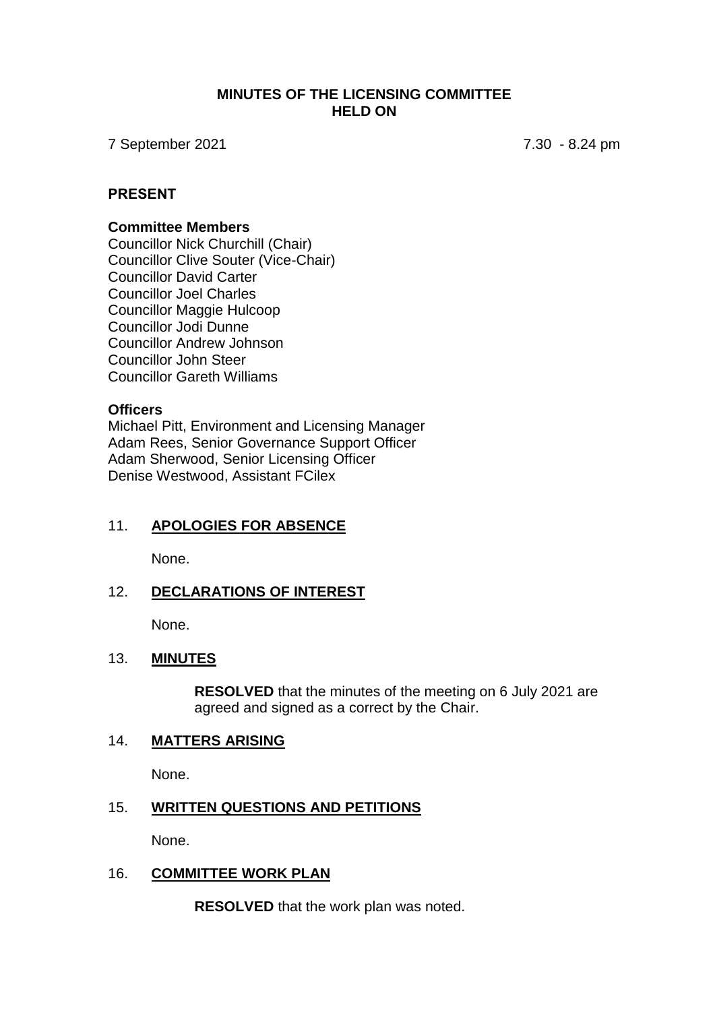#### **MINUTES OF THE LICENSING COMMITTEE HELD ON**

7 September 2021 7.30 - 8.24 pm

#### **PRESENT**

#### **Committee Members**

Councillor Nick Churchill (Chair) Councillor Clive Souter (Vice-Chair) Councillor David Carter Councillor Joel Charles Councillor Maggie Hulcoop Councillor Jodi Dunne Councillor Andrew Johnson Councillor John Steer Councillor Gareth Williams

#### **Officers**

Michael Pitt, Environment and Licensing Manager Adam Rees, Senior Governance Support Officer Adam Sherwood, Senior Licensing Officer Denise Westwood, Assistant FCilex

# 11. **APOLOGIES FOR ABSENCE**

None.

## 12. **DECLARATIONS OF INTEREST**

None.

## 13. **MINUTES**

**RESOLVED** that the minutes of the meeting on 6 July 2021 are agreed and signed as a correct by the Chair.

## 14. **MATTERS ARISING**

None.

## 15. **WRITTEN QUESTIONS AND PETITIONS**

None.

## 16. **COMMITTEE WORK PLAN**

**RESOLVED** that the work plan was noted.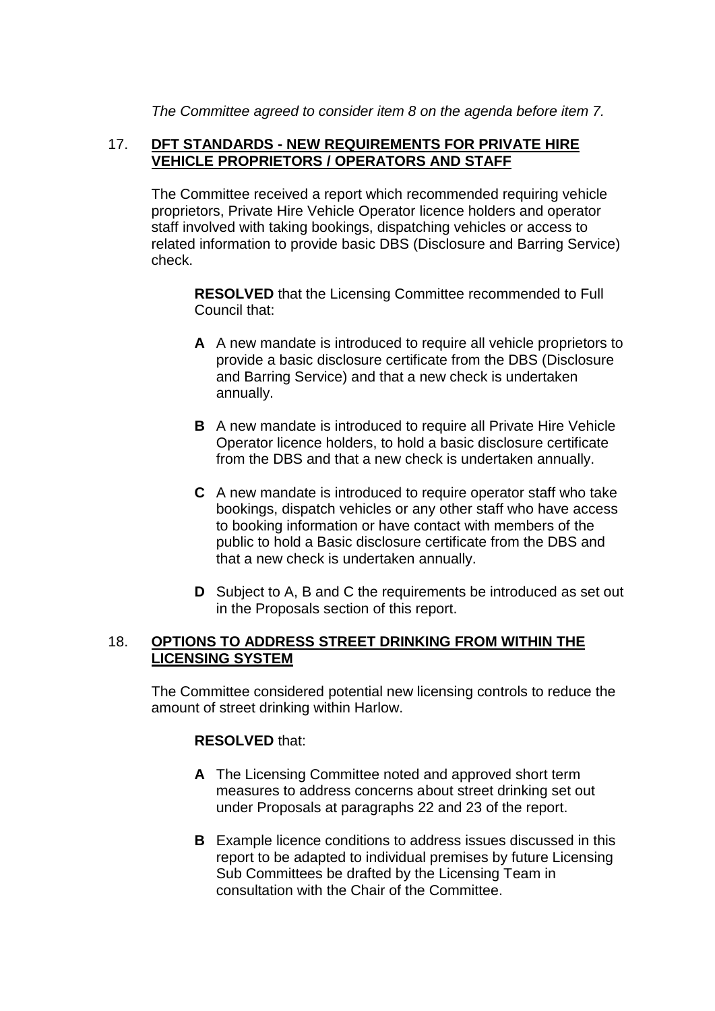*The Committee agreed to consider item 8 on the agenda before item 7.*

## 17. **DFT STANDARDS - NEW REQUIREMENTS FOR PRIVATE HIRE VEHICLE PROPRIETORS / OPERATORS AND STAFF**

The Committee received a report which recommended requiring vehicle proprietors, Private Hire Vehicle Operator licence holders and operator staff involved with taking bookings, dispatching vehicles or access to related information to provide basic DBS (Disclosure and Barring Service) check.

**RESOLVED** that the Licensing Committee recommended to Full Council that:

- **A** A new mandate is introduced to require all vehicle proprietors to provide a basic disclosure certificate from the DBS (Disclosure and Barring Service) and that a new check is undertaken annually.
- **B** A new mandate is introduced to require all Private Hire Vehicle Operator licence holders, to hold a basic disclosure certificate from the DBS and that a new check is undertaken annually.
- **C** A new mandate is introduced to require operator staff who take bookings, dispatch vehicles or any other staff who have access to booking information or have contact with members of the public to hold a Basic disclosure certificate from the DBS and that a new check is undertaken annually.
- **D** Subject to A, B and C the requirements be introduced as set out in the Proposals section of this report.

## 18. **OPTIONS TO ADDRESS STREET DRINKING FROM WITHIN THE LICENSING SYSTEM**

The Committee considered potential new licensing controls to reduce the amount of street drinking within Harlow.

## **RESOLVED** that:

- **A** The Licensing Committee noted and approved short term measures to address concerns about street drinking set out under Proposals at paragraphs 22 and 23 of the report.
- **B** Example licence conditions to address issues discussed in this report to be adapted to individual premises by future Licensing Sub Committees be drafted by the Licensing Team in consultation with the Chair of the Committee.